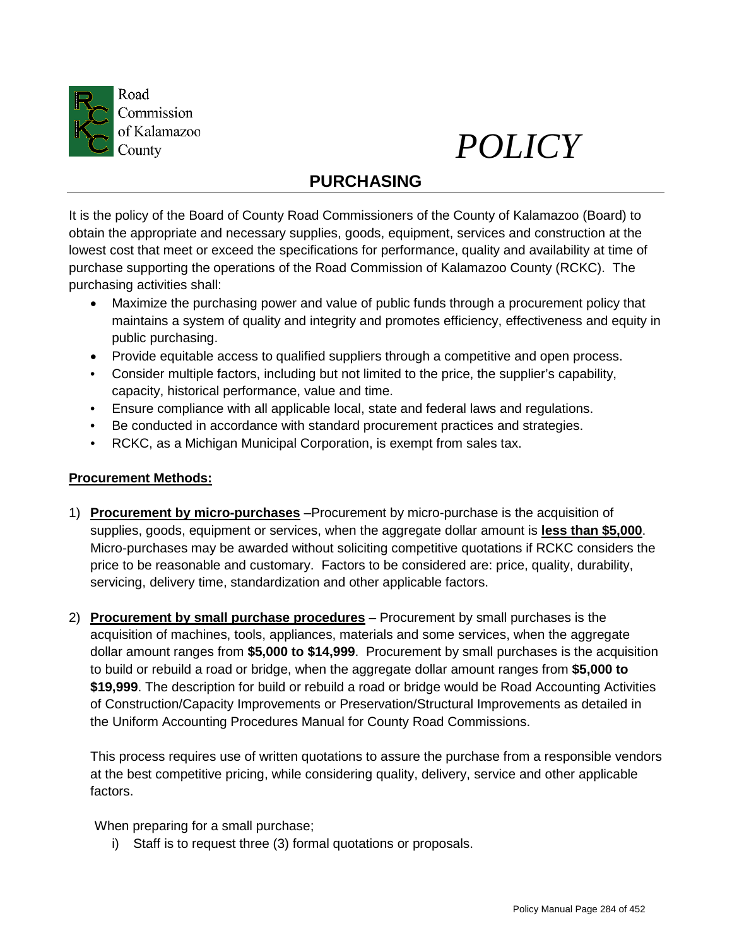



# **PURCHASING**

It is the policy of the Board of County Road Commissioners of the County of Kalamazoo (Board) to obtain the appropriate and necessary supplies, goods, equipment, services and construction at the lowest cost that meet or exceed the specifications for performance, quality and availability at time of purchase supporting the operations of the Road Commission of Kalamazoo County (RCKC). The purchasing activities shall:

- Maximize the purchasing power and value of public funds through a procurement policy that maintains a system of quality and integrity and promotes efficiency, effectiveness and equity in public purchasing.
- Provide equitable access to qualified suppliers through a competitive and open process.
- Consider multiple factors, including but not limited to the price, the supplier's capability, capacity, historical performance, value and time.
- Ensure compliance with all applicable local, state and federal laws and regulations.
- Be conducted in accordance with standard procurement practices and strategies.
- RCKC, as a Michigan Municipal Corporation, is exempt from sales tax.

# **Procurement Methods:**

- 1) **Procurement by micro-purchases** –Procurement by micro-purchase is the acquisition of supplies, goods, equipment or services, when the aggregate dollar amount is **less than \$5,000**. Micro-purchases may be awarded without soliciting competitive quotations if RCKC considers the price to be reasonable and customary. Factors to be considered are: price, quality, durability, servicing, delivery time, standardization and other applicable factors.
- 2) **Procurement by small purchase procedures** Procurement by small purchases is the acquisition of machines, tools, appliances, materials and some services, when the aggregate dollar amount ranges from **\$5,000 to \$14,999**. Procurement by small purchases is the acquisition to build or rebuild a road or bridge, when the aggregate dollar amount ranges from **\$5,000 to \$19,999**. The description for build or rebuild a road or bridge would be Road Accounting Activities of Construction/Capacity Improvements or Preservation/Structural Improvements as detailed in the Uniform Accounting Procedures Manual for County Road Commissions.

This process requires use of written quotations to assure the purchase from a responsible vendors at the best competitive pricing, while considering quality, delivery, service and other applicable factors.

When preparing for a small purchase;

i) Staff is to request three (3) formal quotations or proposals.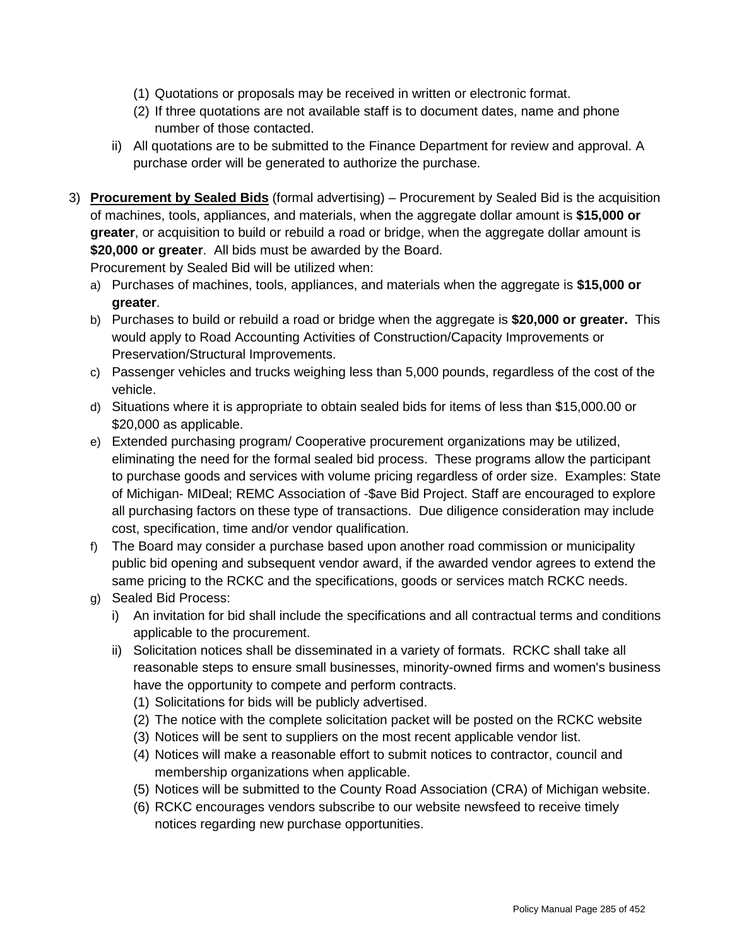- (1) Quotations or proposals may be received in written or electronic format.
- (2) If three quotations are not available staff is to document dates, name and phone number of those contacted.
- ii) All quotations are to be submitted to the Finance Department for review and approval. A purchase order will be generated to authorize the purchase.
- 3) **Procurement by Sealed Bids** (formal advertising) Procurement by Sealed Bid is the acquisition of machines, tools, appliances, and materials, when the aggregate dollar amount is **\$15,000 or greater**, or acquisition to build or rebuild a road or bridge, when the aggregate dollar amount is **\$20,000 or greater**. All bids must be awarded by the Board.

Procurement by Sealed Bid will be utilized when:

- a) Purchases of machines, tools, appliances, and materials when the aggregate is **\$15,000 or greater**.
- b) Purchases to build or rebuild a road or bridge when the aggregate is **\$20,000 or greater.** This would apply to Road Accounting Activities of Construction/Capacity Improvements or Preservation/Structural Improvements.
- c) Passenger vehicles and trucks weighing less than 5,000 pounds, regardless of the cost of the vehicle.
- d) Situations where it is appropriate to obtain sealed bids for items of less than \$15,000.00 or \$20,000 as applicable.
- e) Extended purchasing program/ Cooperative procurement organizations may be utilized, eliminating the need for the formal sealed bid process. These programs allow the participant to purchase goods and services with volume pricing regardless of order size. Examples: State of Michigan- MIDeal; REMC Association of -\$ave Bid Project. Staff are encouraged to explore all purchasing factors on these type of transactions. Due diligence consideration may include cost, specification, time and/or vendor qualification.
- f) The Board may consider a purchase based upon another road commission or municipality public bid opening and subsequent vendor award, if the awarded vendor agrees to extend the same pricing to the RCKC and the specifications, goods or services match RCKC needs.
- g) Sealed Bid Process:
	- i) An invitation for bid shall include the specifications and all contractual terms and conditions applicable to the procurement.
	- ii) Solicitation notices shall be disseminated in a variety of formats. RCKC shall take all reasonable steps to ensure small businesses, minority-owned firms and women's business have the opportunity to compete and perform contracts.
		- (1) Solicitations for bids will be publicly advertised.
		- (2) The notice with the complete solicitation packet will be posted on the RCKC website
		- (3) Notices will be sent to suppliers on the most recent applicable vendor list.
		- (4) Notices will make a reasonable effort to submit notices to contractor, council and membership organizations when applicable.
		- (5) Notices will be submitted to the County Road Association (CRA) of Michigan website.
		- (6) RCKC encourages vendors subscribe to our website newsfeed to receive timely notices regarding new purchase opportunities.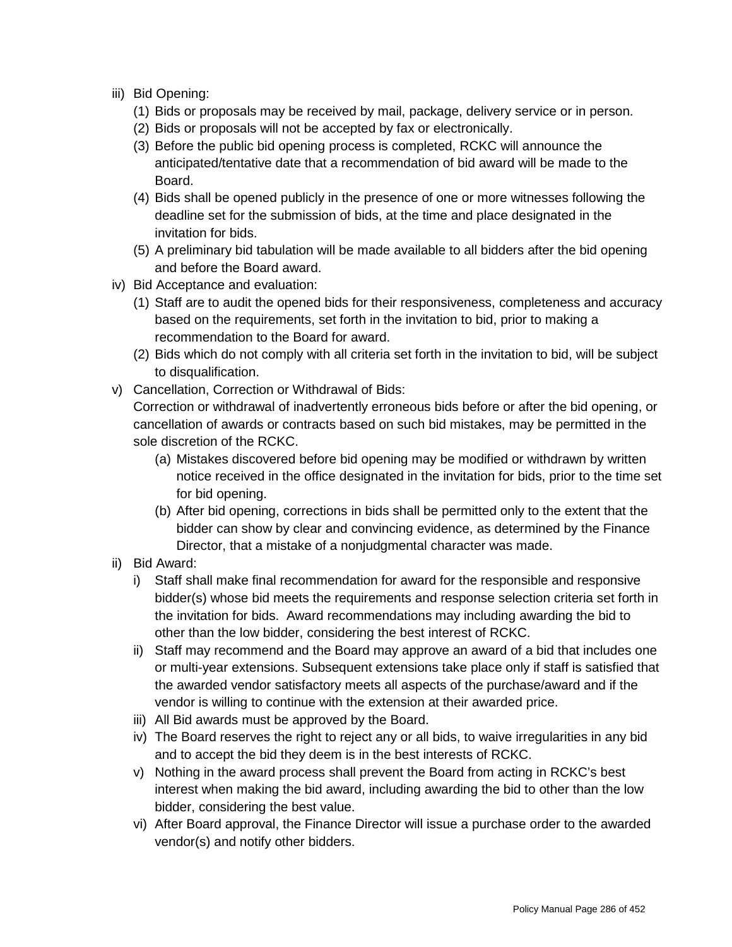- iii) Bid Opening:
	- (1) Bids or proposals may be received by mail, package, delivery service or in person.
	- (2) Bids or proposals will not be accepted by fax or electronically.
	- (3) Before the public bid opening process is completed, RCKC will announce the anticipated/tentative date that a recommendation of bid award will be made to the Board.
	- (4) Bids shall be opened publicly in the presence of one or more witnesses following the deadline set for the submission of bids, at the time and place designated in the invitation for bids.
	- (5) A preliminary bid tabulation will be made available to all bidders after the bid opening and before the Board award.
- iv) Bid Acceptance and evaluation:
	- (1) Staff are to audit the opened bids for their responsiveness, completeness and accuracy based on the requirements, set forth in the invitation to bid, prior to making a recommendation to the Board for award.
	- (2) Bids which do not comply with all criteria set forth in the invitation to bid, will be subject to disqualification.
- v) Cancellation, Correction or Withdrawal of Bids:

Correction or withdrawal of inadvertently erroneous bids before or after the bid opening, or cancellation of awards or contracts based on such bid mistakes, may be permitted in the sole discretion of the RCKC.

- (a) Mistakes discovered before bid opening may be modified or withdrawn by written notice received in the office designated in the invitation for bids, prior to the time set for bid opening.
- (b) After bid opening, corrections in bids shall be permitted only to the extent that the bidder can show by clear and convincing evidence, as determined by the Finance Director, that a mistake of a nonjudgmental character was made.
- ii) Bid Award:
	- i) Staff shall make final recommendation for award for the responsible and responsive bidder(s) whose bid meets the requirements and response selection criteria set forth in the invitation for bids. Award recommendations may including awarding the bid to other than the low bidder, considering the best interest of RCKC.
	- ii) Staff may recommend and the Board may approve an award of a bid that includes one or multi-year extensions. Subsequent extensions take place only if staff is satisfied that the awarded vendor satisfactory meets all aspects of the purchase/award and if the vendor is willing to continue with the extension at their awarded price.
	- iii) All Bid awards must be approved by the Board.
	- iv) The Board reserves the right to reject any or all bids, to waive irregularities in any bid and to accept the bid they deem is in the best interests of RCKC.
	- v) Nothing in the award process shall prevent the Board from acting in RCKC's best interest when making the bid award, including awarding the bid to other than the low bidder, considering the best value.
	- vi) After Board approval, the Finance Director will issue a purchase order to the awarded vendor(s) and notify other bidders.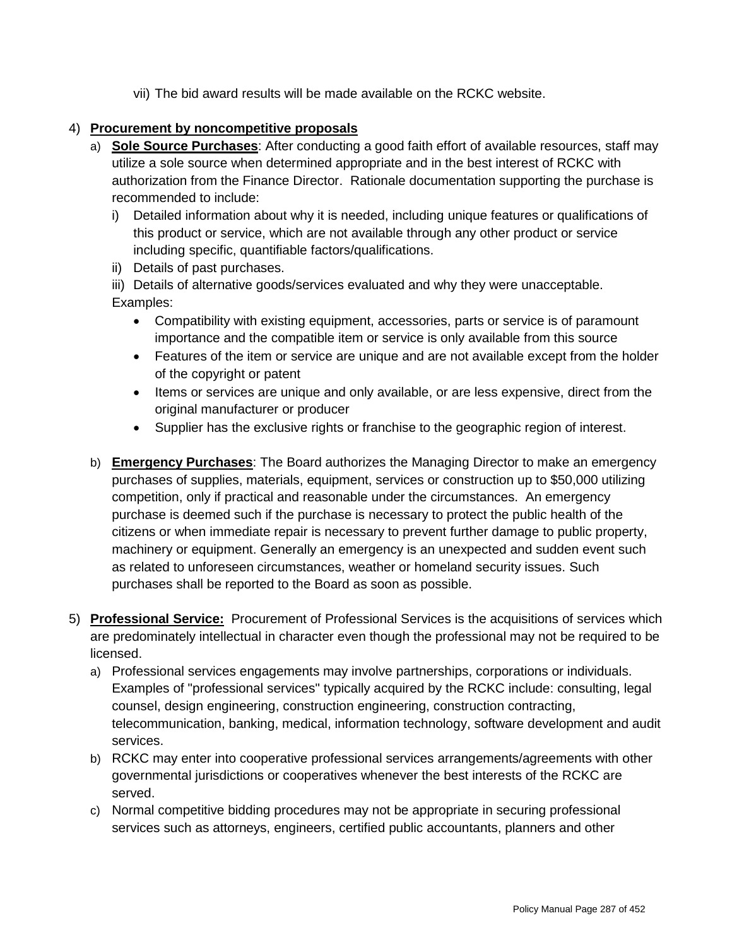vii) The bid award results will be made available on the RCKC website.

# 4) **Procurement by noncompetitive proposals**

- a) **Sole Source Purchases**: After conducting a good faith effort of available resources, staff may utilize a sole source when determined appropriate and in the best interest of RCKC with authorization from the Finance Director. Rationale documentation supporting the purchase is recommended to include:
	- i) Detailed information about why it is needed, including unique features or qualifications of this product or service, which are not available through any other product or service including specific, quantifiable factors/qualifications.
	- ii) Details of past purchases.

iii) Details of alternative goods/services evaluated and why they were unacceptable. Examples:

- Compatibility with existing equipment, accessories, parts or service is of paramount importance and the compatible item or service is only available from this source
- Features of the item or service are unique and are not available except from the holder of the copyright or patent
- Items or services are unique and only available, or are less expensive, direct from the original manufacturer or producer
- Supplier has the exclusive rights or franchise to the geographic region of interest.
- b) **Emergency Purchases**: The Board authorizes the Managing Director to make an emergency purchases of supplies, materials, equipment, services or construction up to \$50,000 utilizing competition, only if practical and reasonable under the circumstances. An emergency purchase is deemed such if the purchase is necessary to protect the public health of the citizens or when immediate repair is necessary to prevent further damage to public property, machinery or equipment. Generally an emergency is an unexpected and sudden event such as related to unforeseen circumstances, weather or homeland security issues. Such purchases shall be reported to the Board as soon as possible.
- 5) **Professional Service:** Procurement of Professional Services is the acquisitions of services which are predominately intellectual in character even though the professional may not be required to be licensed.
	- a) Professional services engagements may involve partnerships, corporations or individuals. Examples of "professional services" typically acquired by the RCKC include: consulting, legal counsel, design engineering, construction engineering, construction contracting, telecommunication, banking, medical, information technology, software development and audit services.
	- b) RCKC may enter into cooperative professional services arrangements/agreements with other governmental jurisdictions or cooperatives whenever the best interests of the RCKC are served.
	- c) Normal competitive bidding procedures may not be appropriate in securing professional services such as attorneys, engineers, certified public accountants, planners and other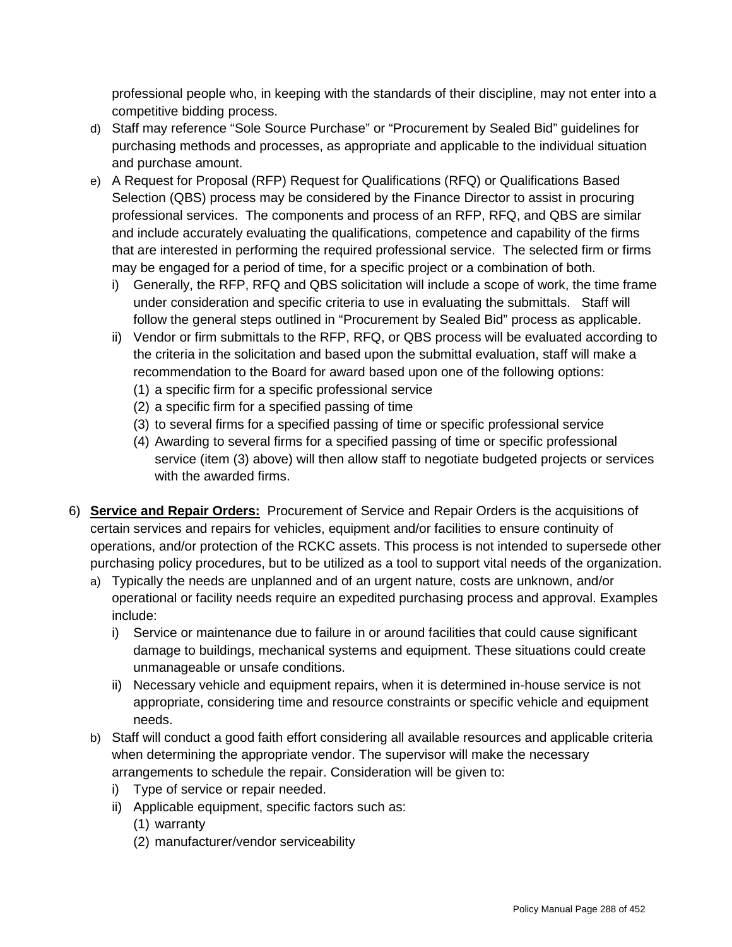professional people who, in keeping with the standards of their discipline, may not enter into a competitive bidding process.

- d) Staff may reference "Sole Source Purchase" or "Procurement by Sealed Bid" guidelines for purchasing methods and processes, as appropriate and applicable to the individual situation and purchase amount.
- e) A Request for Proposal (RFP) Request for Qualifications (RFQ) or Qualifications Based Selection (QBS) process may be considered by the Finance Director to assist in procuring professional services. The components and process of an RFP, RFQ, and QBS are similar and include accurately evaluating the qualifications, competence and capability of the firms that are interested in performing the required professional service. The selected firm or firms may be engaged for a period of time, for a specific project or a combination of both.
	- i) Generally, the RFP, RFQ and QBS solicitation will include a scope of work, the time frame under consideration and specific criteria to use in evaluating the submittals. Staff will follow the general steps outlined in "Procurement by Sealed Bid" process as applicable.
	- ii) Vendor or firm submittals to the RFP, RFQ, or QBS process will be evaluated according to the criteria in the solicitation and based upon the submittal evaluation, staff will make a recommendation to the Board for award based upon one of the following options:
		- (1) a specific firm for a specific professional service
		- (2) a specific firm for a specified passing of time
		- (3) to several firms for a specified passing of time or specific professional service
		- (4) Awarding to several firms for a specified passing of time or specific professional service (item (3) above) will then allow staff to negotiate budgeted projects or services with the awarded firms.
- 6) **Service and Repair Orders:** Procurement of Service and Repair Orders is the acquisitions of certain services and repairs for vehicles, equipment and/or facilities to ensure continuity of operations, and/or protection of the RCKC assets. This process is not intended to supersede other purchasing policy procedures, but to be utilized as a tool to support vital needs of the organization.
	- a) Typically the needs are unplanned and of an urgent nature, costs are unknown, and/or operational or facility needs require an expedited purchasing process and approval. Examples include:
		- i) Service or maintenance due to failure in or around facilities that could cause significant damage to buildings, mechanical systems and equipment. These situations could create unmanageable or unsafe conditions.
		- ii) Necessary vehicle and equipment repairs, when it is determined in-house service is not appropriate, considering time and resource constraints or specific vehicle and equipment needs.
	- b) Staff will conduct a good faith effort considering all available resources and applicable criteria when determining the appropriate vendor. The supervisor will make the necessary arrangements to schedule the repair. Consideration will be given to:
		- i) Type of service or repair needed.
		- ii) Applicable equipment, specific factors such as:
			- (1) warranty
			- (2) manufacturer/vendor serviceability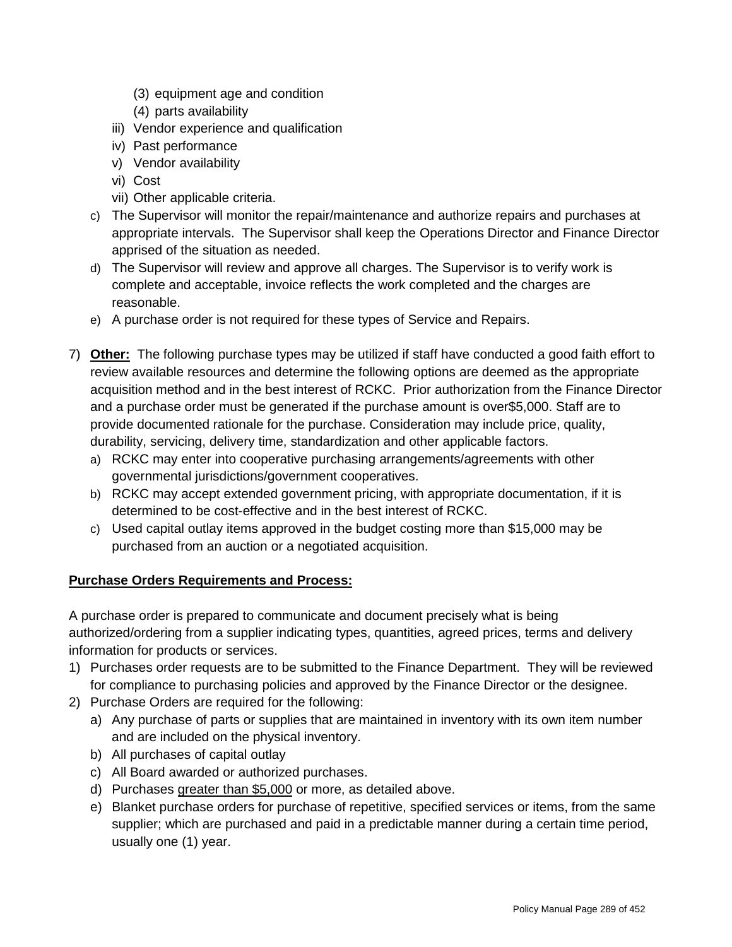- (3) equipment age and condition
- (4) parts availability
- iii) Vendor experience and qualification
- iv) Past performance
- v) Vendor availability
- vi) Cost
- vii) Other applicable criteria.
- c) The Supervisor will monitor the repair/maintenance and authorize repairs and purchases at appropriate intervals. The Supervisor shall keep the Operations Director and Finance Director apprised of the situation as needed.
- d) The Supervisor will review and approve all charges. The Supervisor is to verify work is complete and acceptable, invoice reflects the work completed and the charges are reasonable.
- e) A purchase order is not required for these types of Service and Repairs.
- 7) **Other:** The following purchase types may be utilized if staff have conducted a good faith effort to review available resources and determine the following options are deemed as the appropriate acquisition method and in the best interest of RCKC. Prior authorization from the Finance Director and a purchase order must be generated if the purchase amount is over\$5,000. Staff are to provide documented rationale for the purchase. Consideration may include price, quality, durability, servicing, delivery time, standardization and other applicable factors.
	- a) RCKC may enter into cooperative purchasing arrangements/agreements with other governmental jurisdictions/government cooperatives.
	- b) RCKC may accept extended government pricing, with appropriate documentation, if it is determined to be cost-effective and in the best interest of RCKC.
	- c) Used capital outlay items approved in the budget costing more than \$15,000 may be purchased from an auction or a negotiated acquisition.

# **Purchase Orders Requirements and Process:**

A purchase order is prepared to communicate and document precisely what is being authorized/ordering from a supplier indicating types, quantities, agreed prices, terms and delivery information for products or services.

- 1) Purchases order requests are to be submitted to the Finance Department. They will be reviewed for compliance to purchasing policies and approved by the Finance Director or the designee.
- 2) Purchase Orders are required for the following:
	- a) Any purchase of parts or supplies that are maintained in inventory with its own item number and are included on the physical inventory.
	- b) All purchases of capital outlay
	- c) All Board awarded or authorized purchases.
	- d) Purchases greater than \$5,000 or more, as detailed above.
	- e) Blanket purchase orders for purchase of repetitive, specified services or items, from the same supplier; which are purchased and paid in a predictable manner during a certain time period, usually one (1) year.